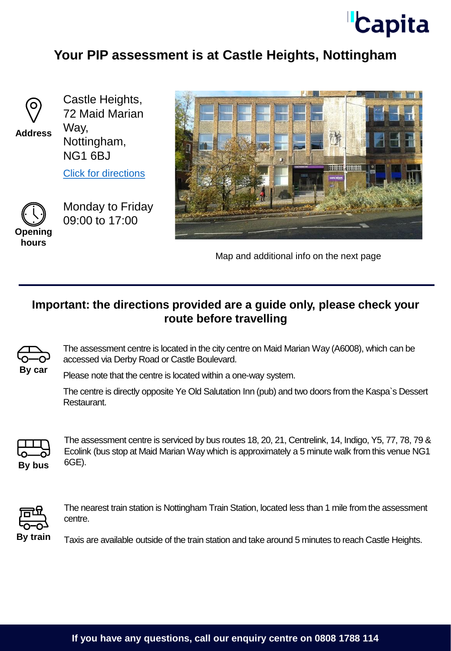

## **Your PIP assessment is at Castle Heights, Nottingham**



**Address**

Castle Heights, 72 Maid Marian Way, Nottingham, NG1 6BJ

[Click for directions](https://goo.gl/maps/oCjibEhvCfyY6qE39)



Monday to Friday 09:00 to 17:00

**hours**



Map and additional info on the next page

## **Important: the directions provided are a guide only, please check your route before travelling**



The assessment centre is located in the city centre on Maid Marian Way (A6008), which can be accessed via Derby Road or Castle Boulevard.

Please note that the centre is located within a one-way system.

The centre is directly opposite Ye Old Salutation Inn (pub) and two doors from the Kaspa`s Dessert Restaurant.



The assessment centre is serviced by bus routes 18, 20, 21, Centrelink, 14, Indigo, Y5, 77, 78, 79 & Ecolink (bus stop at Maid Marian Way which is approximately a 5 minute walk from this venue NG1 **By bus** 6GE).



The nearest train station is Nottingham Train Station, located less than 1 mile from the assessment centre.

**By train** Taxis are available outside of the train station and take around 5 minutes to reach Castle Heights.